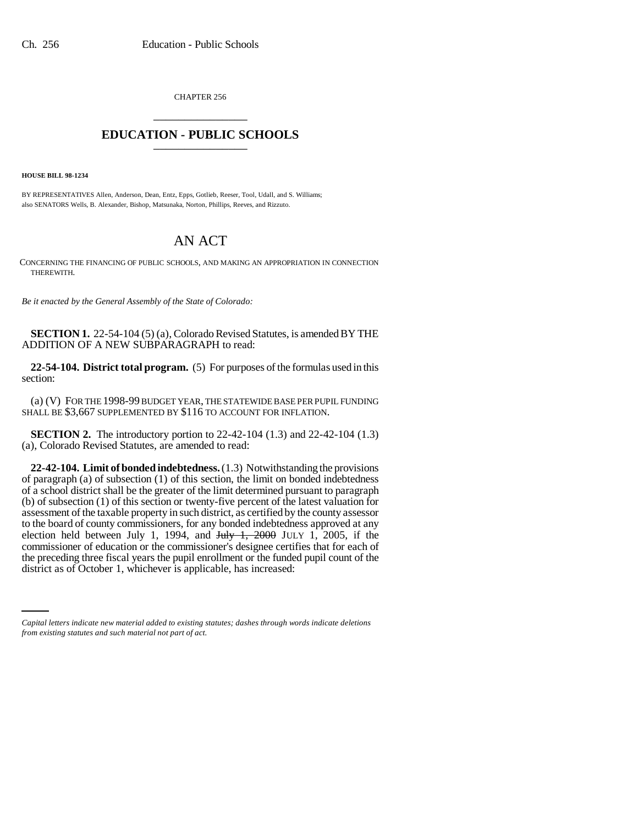CHAPTER 256 \_\_\_\_\_\_\_\_\_\_\_\_\_\_\_

## **EDUCATION - PUBLIC SCHOOLS** \_\_\_\_\_\_\_\_\_\_\_\_\_\_\_

**HOUSE BILL 98-1234**

BY REPRESENTATIVES Allen, Anderson, Dean, Entz, Epps, Gotlieb, Reeser, Tool, Udall, and S. Williams; also SENATORS Wells, B. Alexander, Bishop, Matsunaka, Norton, Phillips, Reeves, and Rizzuto.

# AN ACT

CONCERNING THE FINANCING OF PUBLIC SCHOOLS, AND MAKING AN APPROPRIATION IN CONNECTION THEREWITH.

*Be it enacted by the General Assembly of the State of Colorado:*

**SECTION 1.** 22-54-104 (5) (a), Colorado Revised Statutes, is amended BY THE ADDITION OF A NEW SUBPARAGRAPH to read:

**22-54-104. District total program.** (5) For purposes of the formulas used in this section:

(a) (V) FOR THE 1998-99 BUDGET YEAR, THE STATEWIDE BASE PER PUPIL FUNDING SHALL BE \$3,667 SUPPLEMENTED BY \$116 TO ACCOUNT FOR INFLATION.

**SECTION 2.** The introductory portion to 22-42-104 (1.3) and 22-42-104 (1.3) (a), Colorado Revised Statutes, are amended to read:

the preceding three fiscal years the pupil enrollment or the funded pupil count of the **22-42-104. Limit of bonded indebtedness.** (1.3) Notwithstanding the provisions of paragraph (a) of subsection (1) of this section, the limit on bonded indebtedness of a school district shall be the greater of the limit determined pursuant to paragraph (b) of subsection (1) of this section or twenty-five percent of the latest valuation for assessment of the taxable property in such district, as certified by the county assessor to the board of county commissioners, for any bonded indebtedness approved at any election held between July 1, 1994, and  $\frac{\text{H}_y}{\text{H}_y}$  + 2000 JULY 1, 2005, if the commissioner of education or the commissioner's designee certifies that for each of district as of October 1, whichever is applicable, has increased:

*Capital letters indicate new material added to existing statutes; dashes through words indicate deletions from existing statutes and such material not part of act.*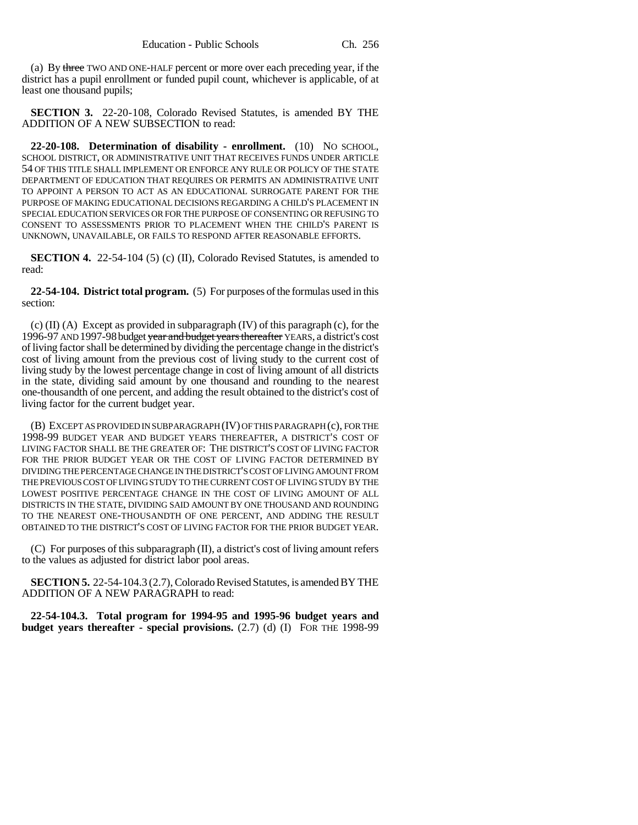(a) By three TWO AND ONE-HALF percent or more over each preceding year, if the district has a pupil enrollment or funded pupil count, whichever is applicable, of at least one thousand pupils;

**SECTION 3.** 22-20-108, Colorado Revised Statutes, is amended BY THE ADDITION OF A NEW SUBSECTION to read:

**22-20-108. Determination of disability - enrollment.** (10) NO SCHOOL, SCHOOL DISTRICT, OR ADMINISTRATIVE UNIT THAT RECEIVES FUNDS UNDER ARTICLE 54 OF THIS TITLE SHALL IMPLEMENT OR ENFORCE ANY RULE OR POLICY OF THE STATE DEPARTMENT OF EDUCATION THAT REQUIRES OR PERMITS AN ADMINISTRATIVE UNIT TO APPOINT A PERSON TO ACT AS AN EDUCATIONAL SURROGATE PARENT FOR THE PURPOSE OF MAKING EDUCATIONAL DECISIONS REGARDING A CHILD'S PLACEMENT IN SPECIAL EDUCATION SERVICES OR FOR THE PURPOSE OF CONSENTING OR REFUSING TO CONSENT TO ASSESSMENTS PRIOR TO PLACEMENT WHEN THE CHILD'S PARENT IS UNKNOWN, UNAVAILABLE, OR FAILS TO RESPOND AFTER REASONABLE EFFORTS.

**SECTION 4.** 22-54-104 (5) (c) (II), Colorado Revised Statutes, is amended to read:

**22-54-104. District total program.** (5) For purposes of the formulas used in this section:

(c) (II) (A) Except as provided in subparagraph (IV) of this paragraph (c), for the 1996-97 AND 1997-98 budget year and budget years thereafter YEARS, a district's cost of living factor shall be determined by dividing the percentage change in the district's cost of living amount from the previous cost of living study to the current cost of living study by the lowest percentage change in cost of living amount of all districts in the state, dividing said amount by one thousand and rounding to the nearest one-thousandth of one percent, and adding the result obtained to the district's cost of living factor for the current budget year.

(B) EXCEPT AS PROVIDED IN SUBPARAGRAPH (IV) OF THIS PARAGRAPH (c), FOR THE 1998-99 BUDGET YEAR AND BUDGET YEARS THEREAFTER, A DISTRICT'S COST OF LIVING FACTOR SHALL BE THE GREATER OF: THE DISTRICT'S COST OF LIVING FACTOR FOR THE PRIOR BUDGET YEAR OR THE COST OF LIVING FACTOR DETERMINED BY DIVIDING THE PERCENTAGE CHANGE IN THE DISTRICT'S COST OF LIVING AMOUNT FROM THE PREVIOUS COST OF LIVING STUDY TO THE CURRENT COST OF LIVING STUDY BY THE LOWEST POSITIVE PERCENTAGE CHANGE IN THE COST OF LIVING AMOUNT OF ALL DISTRICTS IN THE STATE, DIVIDING SAID AMOUNT BY ONE THOUSAND AND ROUNDING TO THE NEAREST ONE-THOUSANDTH OF ONE PERCENT, AND ADDING THE RESULT OBTAINED TO THE DISTRICT'S COST OF LIVING FACTOR FOR THE PRIOR BUDGET YEAR.

(C) For purposes of this subparagraph (II), a district's cost of living amount refers to the values as adjusted for district labor pool areas.

**SECTION 5.** 22-54-104.3 (2.7), Colorado Revised Statutes, is amended BY THE ADDITION OF A NEW PARAGRAPH to read:

**22-54-104.3. Total program for 1994-95 and 1995-96 budget years and budget years thereafter - special provisions.** (2.7) (d) (I) FOR THE 1998-99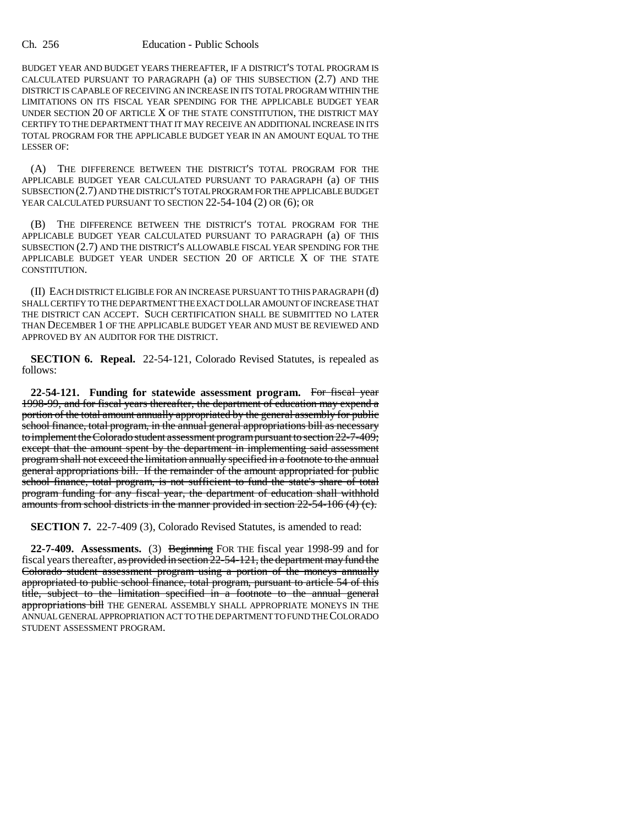#### Ch. 256 Education - Public Schools

BUDGET YEAR AND BUDGET YEARS THEREAFTER, IF A DISTRICT'S TOTAL PROGRAM IS CALCULATED PURSUANT TO PARAGRAPH (a) OF THIS SUBSECTION (2.7) AND THE DISTRICT IS CAPABLE OF RECEIVING AN INCREASE IN ITS TOTAL PROGRAM WITHIN THE LIMITATIONS ON ITS FISCAL YEAR SPENDING FOR THE APPLICABLE BUDGET YEAR UNDER SECTION 20 OF ARTICLE X OF THE STATE CONSTITUTION, THE DISTRICT MAY CERTIFY TO THE DEPARTMENT THAT IT MAY RECEIVE AN ADDITIONAL INCREASE IN ITS TOTAL PROGRAM FOR THE APPLICABLE BUDGET YEAR IN AN AMOUNT EQUAL TO THE LESSER OF:

(A) THE DIFFERENCE BETWEEN THE DISTRICT'S TOTAL PROGRAM FOR THE APPLICABLE BUDGET YEAR CALCULATED PURSUANT TO PARAGRAPH (a) OF THIS SUBSECTION (2.7) AND THE DISTRICT'S TOTAL PROGRAM FOR THE APPLICABLE BUDGET YEAR CALCULATED PURSUANT TO SECTION 22-54-104 (2) OR (6); OR

(B) THE DIFFERENCE BETWEEN THE DISTRICT'S TOTAL PROGRAM FOR THE APPLICABLE BUDGET YEAR CALCULATED PURSUANT TO PARAGRAPH (a) OF THIS SUBSECTION (2.7) AND THE DISTRICT'S ALLOWABLE FISCAL YEAR SPENDING FOR THE APPLICABLE BUDGET YEAR UNDER SECTION 20 OF ARTICLE X OF THE STATE CONSTITUTION.

(II) EACH DISTRICT ELIGIBLE FOR AN INCREASE PURSUANT TO THIS PARAGRAPH (d) SHALL CERTIFY TO THE DEPARTMENT THE EXACT DOLLAR AMOUNT OF INCREASE THAT THE DISTRICT CAN ACCEPT. SUCH CERTIFICATION SHALL BE SUBMITTED NO LATER THAN DECEMBER 1 OF THE APPLICABLE BUDGET YEAR AND MUST BE REVIEWED AND APPROVED BY AN AUDITOR FOR THE DISTRICT.

**SECTION 6. Repeal.** 22-54-121, Colorado Revised Statutes, is repealed as follows:

**22-54-121. Funding for statewide assessment program.** For fiscal year 1998-99, and for fiscal years thereafter, the department of education may expend a portion of the total amount annually appropriated by the general assembly for public school finance, total program, in the annual general appropriations bill as necessary to implement the Colorado student assessment program pursuant to section 22-7-409; except that the amount spent by the department in implementing said assessment program shall not exceed the limitation annually specified in a footnote to the annual general appropriations bill. If the remainder of the amount appropriated for public school finance, total program, is not sufficient to fund the state's share of total program funding for any fiscal year, the department of education shall withhold amounts from school districts in the manner provided in section 22-54-106 (4) (c).

**SECTION 7.** 22-7-409 (3), Colorado Revised Statutes, is amended to read:

**22-7-409. Assessments.** (3) Beginning FOR THE fiscal year 1998-99 and for fiscal years thereafter, as provided in section 22-54-121, the department may fund the Colorado student assessment program using a portion of the moneys annually appropriated to public school finance, total program, pursuant to article 54 of this title, subject to the limitation specified in a footnote to the annual general appropriations bill THE GENERAL ASSEMBLY SHALL APPROPRIATE MONEYS IN THE ANNUAL GENERAL APPROPRIATION ACT TO THE DEPARTMENT TO FUND THE COLORADO STUDENT ASSESSMENT PROGRAM.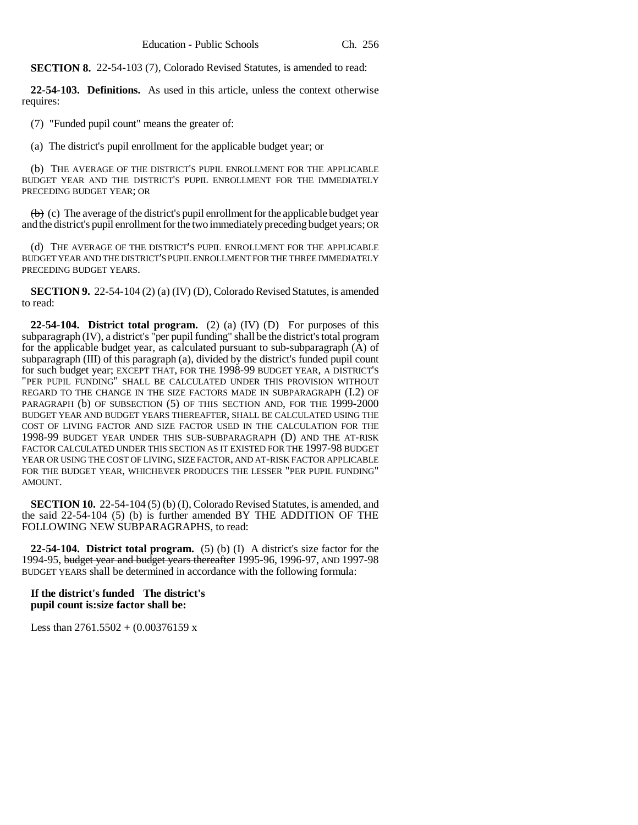**SECTION 8.** 22-54-103 (7), Colorado Revised Statutes, is amended to read:

**22-54-103. Definitions.** As used in this article, unless the context otherwise requires:

(7) "Funded pupil count" means the greater of:

(a) The district's pupil enrollment for the applicable budget year; or

(b) THE AVERAGE OF THE DISTRICT'S PUPIL ENROLLMENT FOR THE APPLICABLE BUDGET YEAR AND THE DISTRICT'S PUPIL ENROLLMENT FOR THE IMMEDIATELY PRECEDING BUDGET YEAR; OR

 $\langle \uparrow \rangle$  (c) The average of the district's pupil enrollment for the applicable budget year and the district's pupil enrollment for the two immediately preceding budget years; OR

(d) THE AVERAGE OF THE DISTRICT'S PUPIL ENROLLMENT FOR THE APPLICABLE BUDGET YEAR AND THE DISTRICT'S PUPIL ENROLLMENT FOR THE THREE IMMEDIATELY PRECEDING BUDGET YEARS.

**SECTION 9.** 22-54-104 (2) (a) (IV) (D), Colorado Revised Statutes, is amended to read:

**22-54-104. District total program.** (2) (a) (IV) (D) For purposes of this subparagraph (IV), a district's "per pupil funding" shall be the district's total program for the applicable budget year, as calculated pursuant to sub-subparagraph (A) of subparagraph (III) of this paragraph (a), divided by the district's funded pupil count for such budget year; EXCEPT THAT, FOR THE 1998-99 BUDGET YEAR, A DISTRICT'S "PER PUPIL FUNDING" SHALL BE CALCULATED UNDER THIS PROVISION WITHOUT REGARD TO THE CHANGE IN THE SIZE FACTORS MADE IN SUBPARAGRAPH (I.2) OF PARAGRAPH (b) OF SUBSECTION (5) OF THIS SECTION AND, FOR THE 1999-2000 BUDGET YEAR AND BUDGET YEARS THEREAFTER, SHALL BE CALCULATED USING THE COST OF LIVING FACTOR AND SIZE FACTOR USED IN THE CALCULATION FOR THE 1998-99 BUDGET YEAR UNDER THIS SUB-SUBPARAGRAPH (D) AND THE AT-RISK FACTOR CALCULATED UNDER THIS SECTION AS IT EXISTED FOR THE 1997-98 BUDGET YEAR OR USING THE COST OF LIVING, SIZE FACTOR, AND AT-RISK FACTOR APPLICABLE FOR THE BUDGET YEAR, WHICHEVER PRODUCES THE LESSER "PER PUPIL FUNDING" AMOUNT.

**SECTION 10.** 22-54-104 (5) (b) (I), Colorado Revised Statutes, is amended, and the said 22-54-104 (5) (b) is further amended BY THE ADDITION OF THE FOLLOWING NEW SUBPARAGRAPHS, to read:

**22-54-104. District total program.** (5) (b) (I) A district's size factor for the 1994-95, budget year and budget years thereafter 1995-96, 1996-97, AND 1997-98 BUDGET YEARS shall be determined in accordance with the following formula:

**If the district's funded The district's pupil count is:size factor shall be:**

Less than  $2761.5502 + (0.00376159 \text{ x})$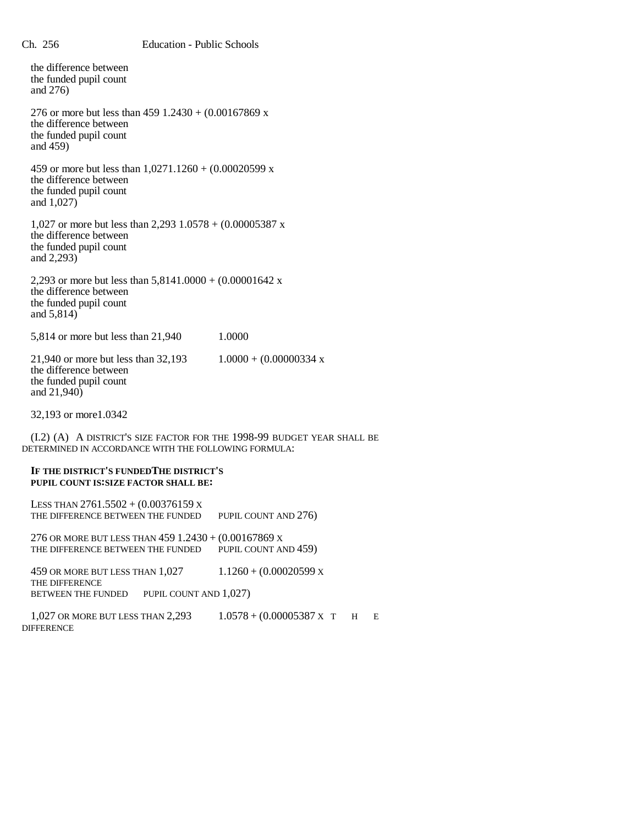the difference between the funded pupil count and 276)

276 or more but less than 459 1.2430 + (0.00167869 x the difference between the funded pupil count and 459)

459 or more but less than 1,0271.1260 + (0.00020599 x the difference between the funded pupil count and 1,027)

1,027 or more but less than 2,293 1.0578 + (0.00005387 x the difference between the funded pupil count and 2,293)

2,293 or more but less than 5,8141.0000 + (0.00001642 x the difference between the funded pupil count and 5,814)

5,814 or more but less than 21,940 1.0000

21,940 or more but less than  $32,193$  1.0000 + (0.00000334 x the difference between the funded pupil count and 21,940)

32,193 or more1.0342

(I.2) (A) A DISTRICT'S SIZE FACTOR FOR THE 1998-99 BUDGET YEAR SHALL BE DETERMINED IN ACCORDANCE WITH THE FOLLOWING FORMULA:

## **IF THE DISTRICT'S FUNDEDTHE DISTRICT'S PUPIL COUNT IS:SIZE FACTOR SHALL BE:**

LESS THAN 2761.5502 + (0.00376159 X THE DIFFERENCE BETWEEN THE FUNDED PUPIL COUNT AND 276)

276 OR MORE BUT LESS THAN  $459$  1.2430 +  $(0.00167869 \text{ X})$ <br>THE DIFFERENCE BETWEEN THE FUNDED PUPIL COUNT AND  $459$ ) THE DIFFERENCE BETWEEN THE FUNDED

459 OR MORE BUT LESS THAN  $1,027$  1.1260 +  $(0.00020599 \text{ X})$ THE DIFFERENCE BETWEEN THE FUNDED PUPIL COUNT AND 1,027)

1,027 OR MORE BUT LESS THAN 2,293  $1.0578 + (0.00005387 \text{ X T H} \to E$ **DIFFERENCE**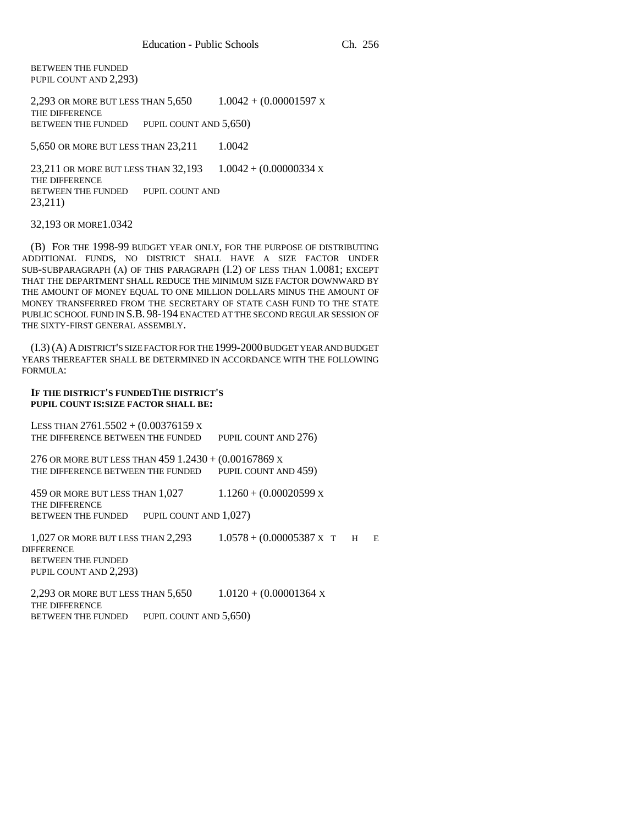BETWEEN THE FUNDED PUPIL COUNT AND 2,293)

2,293 OR MORE BUT LESS THAN  $5,650$  1.0042 + (0.00001597 X THE DIFFERENCE BETWEEN THE FUNDED PUPIL COUNT AND 5.650)

5,650 OR MORE BUT LESS THAN 23,211 1.0042

23,211 OR MORE BUT LESS THAN 32,193 1.0042 + (0.00000334 X THE DIFFERENCE BETWEEN THE FUNDED PUPIL COUNT AND 23,211)

32,193 OR MORE1.0342

(B) FOR THE 1998-99 BUDGET YEAR ONLY, FOR THE PURPOSE OF DISTRIBUTING ADDITIONAL FUNDS, NO DISTRICT SHALL HAVE A SIZE FACTOR UNDER SUB-SUBPARAGRAPH (A) OF THIS PARAGRAPH (I.2) OF LESS THAN 1.0081; EXCEPT THAT THE DEPARTMENT SHALL REDUCE THE MINIMUM SIZE FACTOR DOWNWARD BY THE AMOUNT OF MONEY EQUAL TO ONE MILLION DOLLARS MINUS THE AMOUNT OF MONEY TRANSFERRED FROM THE SECRETARY OF STATE CASH FUND TO THE STATE PUBLIC SCHOOL FUND IN S.B. 98-194 ENACTED AT THE SECOND REGULAR SESSION OF THE SIXTY-FIRST GENERAL ASSEMBLY.

(I.3) (A) A DISTRICT'S SIZE FACTOR FOR THE 1999-2000 BUDGET YEAR AND BUDGET YEARS THEREAFTER SHALL BE DETERMINED IN ACCORDANCE WITH THE FOLLOWING FORMULA:

### **IF THE DISTRICT'S FUNDEDTHE DISTRICT'S PUPIL COUNT IS:SIZE FACTOR SHALL BE:**

LESS THAN 2761.5502 + (0.00376159 X THE DIFFERENCE BETWEEN THE FUNDED PUPIL COUNT AND 276) 276 OR MORE BUT LESS THAN 459 1.2430 + (0.00167869 X<br>THE DIFFERENCE BETWEEN THE FUNDED PUPIL COUNT AND 459) THE DIFFERENCE BETWEEN THE FUNDED 459 OR MORE BUT LESS THAN 1,027 1.1260 + (0.00020599 X THE DIFFERENCE BETWEEN THE FUNDED PUPIL COUNT AND 1,027) 1,027 OR MORE BUT LESS THAN 2,293  $1.0578 + (0.00005387 \text{ X T} \text{ H} \text{ E}$ DIFFERENCE BETWEEN THE FUNDED PUPIL COUNT AND 2,293) 2,293 OR MORE BUT LESS THAN  $5,650$  1.0120 + (0.00001364 X THE DIFFERENCE BETWEEN THE FUNDED PUPIL COUNT AND 5,650)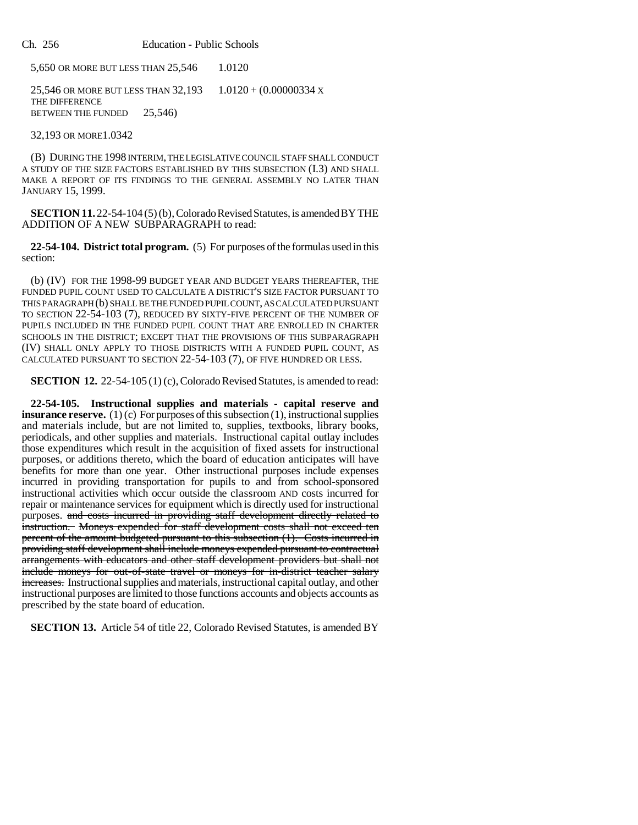5,650 OR MORE BUT LESS THAN 25,546 1.0120

25,546 OR MORE BUT LESS THAN 32,193 1.0120 + (0.00000334 X THE DIFFERENCE BETWEEN THE FUNDED 25,546)

32,193 OR MORE1.0342

(B) DURING THE 1998 INTERIM, THE LEGISLATIVE COUNCIL STAFF SHALL CONDUCT A STUDY OF THE SIZE FACTORS ESTABLISHED BY THIS SUBSECTION (I.3) AND SHALL MAKE A REPORT OF ITS FINDINGS TO THE GENERAL ASSEMBLY NO LATER THAN JANUARY 15, 1999.

**SECTION 11.** 22-54-104 (5) (b), Colorado Revised Statutes, is amended BY THE ADDITION OF A NEW SUBPARAGRAPH to read:

**22-54-104. District total program.** (5) For purposes of the formulas used in this section:

(b) (IV) FOR THE 1998-99 BUDGET YEAR AND BUDGET YEARS THEREAFTER, THE FUNDED PUPIL COUNT USED TO CALCULATE A DISTRICT'S SIZE FACTOR PURSUANT TO THIS PARAGRAPH (b) SHALL BE THE FUNDED PUPIL COUNT, AS CALCULATED PURSUANT TO SECTION 22-54-103 (7), REDUCED BY SIXTY-FIVE PERCENT OF THE NUMBER OF PUPILS INCLUDED IN THE FUNDED PUPIL COUNT THAT ARE ENROLLED IN CHARTER SCHOOLS IN THE DISTRICT; EXCEPT THAT THE PROVISIONS OF THIS SUBPARAGRAPH (IV) SHALL ONLY APPLY TO THOSE DISTRICTS WITH A FUNDED PUPIL COUNT, AS CALCULATED PURSUANT TO SECTION 22-54-103 (7), OF FIVE HUNDRED OR LESS.

**SECTION 12.** 22-54-105 (1) (c), Colorado Revised Statutes, is amended to read:

**22-54-105. Instructional supplies and materials - capital reserve and insurance reserve.** (1) (c) For purposes of this subsection  $(1)$ , instructional supplies and materials include, but are not limited to, supplies, textbooks, library books, periodicals, and other supplies and materials. Instructional capital outlay includes those expenditures which result in the acquisition of fixed assets for instructional purposes, or additions thereto, which the board of education anticipates will have benefits for more than one year. Other instructional purposes include expenses incurred in providing transportation for pupils to and from school-sponsored instructional activities which occur outside the classroom AND costs incurred for repair or maintenance services for equipment which is directly used for instructional purposes. and costs incurred in providing staff development directly related to instruction. Moneys expended for staff development costs shall not exceed ten percent of the amount budgeted pursuant to this subsection (1). Costs incurred in providing staff development shall include moneys expended pursuant to contractual arrangements with educators and other staff development providers but shall not include moneys for out-of-state travel or moneys for in-district teacher salary increases. Instructional supplies and materials, instructional capital outlay, and other instructional purposes are limited to those functions accounts and objects accounts as prescribed by the state board of education.

**SECTION 13.** Article 54 of title 22, Colorado Revised Statutes, is amended BY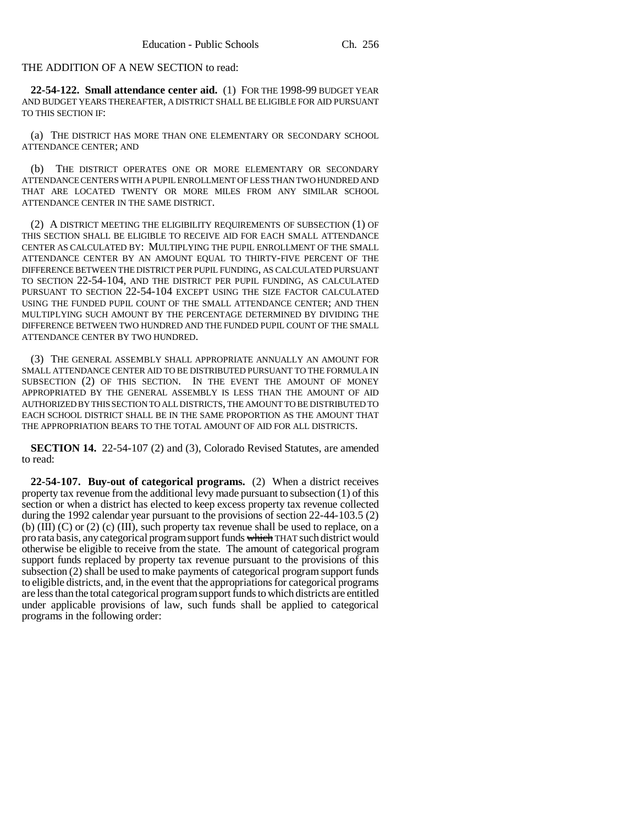THE ADDITION OF A NEW SECTION to read:

**22-54-122. Small attendance center aid.** (1) FOR THE 1998-99 BUDGET YEAR AND BUDGET YEARS THEREAFTER, A DISTRICT SHALL BE ELIGIBLE FOR AID PURSUANT TO THIS SECTION IF:

(a) THE DISTRICT HAS MORE THAN ONE ELEMENTARY OR SECONDARY SCHOOL ATTENDANCE CENTER; AND

(b) THE DISTRICT OPERATES ONE OR MORE ELEMENTARY OR SECONDARY ATTENDANCE CENTERS WITH A PUPIL ENROLLMENT OF LESS THAN TWO HUNDRED AND THAT ARE LOCATED TWENTY OR MORE MILES FROM ANY SIMILAR SCHOOL ATTENDANCE CENTER IN THE SAME DISTRICT.

(2) A DISTRICT MEETING THE ELIGIBILITY REQUIREMENTS OF SUBSECTION (1) OF THIS SECTION SHALL BE ELIGIBLE TO RECEIVE AID FOR EACH SMALL ATTENDANCE CENTER AS CALCULATED BY: MULTIPLYING THE PUPIL ENROLLMENT OF THE SMALL ATTENDANCE CENTER BY AN AMOUNT EQUAL TO THIRTY-FIVE PERCENT OF THE DIFFERENCE BETWEEN THE DISTRICT PER PUPIL FUNDING, AS CALCULATED PURSUANT TO SECTION 22-54-104, AND THE DISTRICT PER PUPIL FUNDING, AS CALCULATED PURSUANT TO SECTION 22-54-104 EXCEPT USING THE SIZE FACTOR CALCULATED USING THE FUNDED PUPIL COUNT OF THE SMALL ATTENDANCE CENTER; AND THEN MULTIPLYING SUCH AMOUNT BY THE PERCENTAGE DETERMINED BY DIVIDING THE DIFFERENCE BETWEEN TWO HUNDRED AND THE FUNDED PUPIL COUNT OF THE SMALL ATTENDANCE CENTER BY TWO HUNDRED.

(3) THE GENERAL ASSEMBLY SHALL APPROPRIATE ANNUALLY AN AMOUNT FOR SMALL ATTENDANCE CENTER AID TO BE DISTRIBUTED PURSUANT TO THE FORMULA IN SUBSECTION (2) OF THIS SECTION. IN THE EVENT THE AMOUNT OF MONEY APPROPRIATED BY THE GENERAL ASSEMBLY IS LESS THAN THE AMOUNT OF AID AUTHORIZED BY THIS SECTION TO ALL DISTRICTS, THE AMOUNT TO BE DISTRIBUTED TO EACH SCHOOL DISTRICT SHALL BE IN THE SAME PROPORTION AS THE AMOUNT THAT THE APPROPRIATION BEARS TO THE TOTAL AMOUNT OF AID FOR ALL DISTRICTS.

**SECTION 14.** 22-54-107 (2) and (3), Colorado Revised Statutes, are amended to read:

**22-54-107. Buy-out of categorical programs.** (2) When a district receives property tax revenue from the additional levy made pursuant to subsection (1) of this section or when a district has elected to keep excess property tax revenue collected during the 1992 calendar year pursuant to the provisions of section 22-44-103.5 (2) (b)  $(III)$  (C) or (2) (c)  $(III)$ , such property tax revenue shall be used to replace, on a pro rata basis, any categorical program support funds which THAT such district would otherwise be eligible to receive from the state. The amount of categorical program support funds replaced by property tax revenue pursuant to the provisions of this subsection (2) shall be used to make payments of categorical program support funds to eligible districts, and, in the event that the appropriations for categorical programs are less than the total categorical program support funds to which districts are entitled under applicable provisions of law, such funds shall be applied to categorical programs in the following order: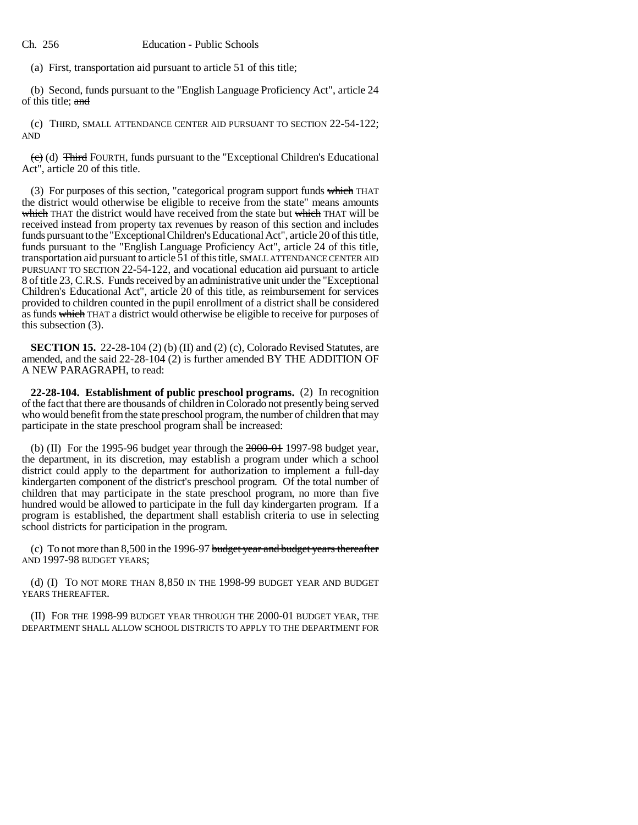(a) First, transportation aid pursuant to article 51 of this title;

(b) Second, funds pursuant to the "English Language Proficiency Act", article 24 of this title; and

(c) THIRD, SMALL ATTENDANCE CENTER AID PURSUANT TO SECTION 22-54-122; AND

(c) (d) Third FOURTH, funds pursuant to the "Exceptional Children's Educational Act", article 20 of this title.

(3) For purposes of this section, "categorical program support funds which THAT the district would otherwise be eligible to receive from the state" means amounts which THAT the district would have received from the state but which THAT will be received instead from property tax revenues by reason of this section and includes funds pursuant to the "Exceptional Children's Educational Act", article 20 of this title, funds pursuant to the "English Language Proficiency Act", article 24 of this title, transportation aid pursuant to article 51 of this title, SMALL ATTENDANCE CENTER AID PURSUANT TO SECTION 22-54-122, and vocational education aid pursuant to article 8 of title 23, C.R.S. Funds received by an administrative unit under the "Exceptional Children's Educational Act", article 20 of this title, as reimbursement for services provided to children counted in the pupil enrollment of a district shall be considered as funds which THAT a district would otherwise be eligible to receive for purposes of this subsection (3).

**SECTION 15.** 22-28-104 (2) (b) (II) and (2) (c), Colorado Revised Statutes, are amended, and the said 22-28-104 (2) is further amended BY THE ADDITION OF A NEW PARAGRAPH, to read:

**22-28-104. Establishment of public preschool programs.** (2) In recognition of the fact that there are thousands of children in Colorado not presently being served who would benefit from the state preschool program, the number of children that may participate in the state preschool program shall be increased:

(b) (II) For the 1995-96 budget year through the 2000-01 1997-98 budget year, the department, in its discretion, may establish a program under which a school district could apply to the department for authorization to implement a full-day kindergarten component of the district's preschool program. Of the total number of children that may participate in the state preschool program, no more than five hundred would be allowed to participate in the full day kindergarten program. If a program is established, the department shall establish criteria to use in selecting school districts for participation in the program.

(c) To not more than  $8,500$  in the 1996-97 budget year and budget years thereafter AND 1997-98 BUDGET YEARS;

(d) (I) TO NOT MORE THAN 8,850 IN THE 1998-99 BUDGET YEAR AND BUDGET YEARS THEREAFTER.

(II) FOR THE 1998-99 BUDGET YEAR THROUGH THE 2000-01 BUDGET YEAR, THE DEPARTMENT SHALL ALLOW SCHOOL DISTRICTS TO APPLY TO THE DEPARTMENT FOR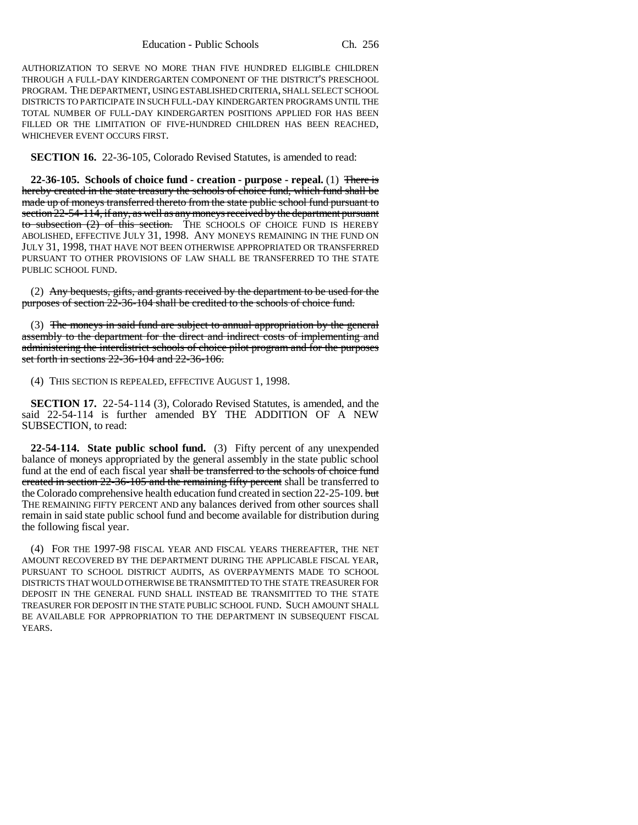AUTHORIZATION TO SERVE NO MORE THAN FIVE HUNDRED ELIGIBLE CHILDREN THROUGH A FULL-DAY KINDERGARTEN COMPONENT OF THE DISTRICT'S PRESCHOOL PROGRAM. THE DEPARTMENT, USING ESTABLISHED CRITERIA, SHALL SELECT SCHOOL DISTRICTS TO PARTICIPATE IN SUCH FULL-DAY KINDERGARTEN PROGRAMS UNTIL THE TOTAL NUMBER OF FULL-DAY KINDERGARTEN POSITIONS APPLIED FOR HAS BEEN FILLED OR THE LIMITATION OF FIVE-HUNDRED CHILDREN HAS BEEN REACHED, WHICHEVER EVENT OCCURS FIRST.

**SECTION 16.** 22-36-105, Colorado Revised Statutes, is amended to read:

**22-36-105. Schools of choice fund - creation - purpose - repeal.** (1) There is hereby created in the state treasury the schools of choice fund, which fund shall be made up of moneys transferred thereto from the state public school fund pursuant to section 22-54-114, if any, as well as any moneys received by the department pursuant to subsection (2) of this section. THE SCHOOLS OF CHOICE FUND IS HEREBY ABOLISHED, EFFECTIVE JULY 31, 1998. ANY MONEYS REMAINING IN THE FUND ON JULY 31, 1998, THAT HAVE NOT BEEN OTHERWISE APPROPRIATED OR TRANSFERRED PURSUANT TO OTHER PROVISIONS OF LAW SHALL BE TRANSFERRED TO THE STATE PUBLIC SCHOOL FUND.

(2) Any bequests, gifts, and grants received by the department to be used for the purposes of section 22-36-104 shall be credited to the schools of choice fund.

(3) The moneys in said fund are subject to annual appropriation by the general assembly to the department for the direct and indirect costs of implementing and administering the interdistrict schools of choice pilot program and for the purposes set forth in sections 22-36-104 and 22-36-106.

(4) THIS SECTION IS REPEALED, EFFECTIVE AUGUST 1, 1998.

**SECTION 17.** 22-54-114 (3), Colorado Revised Statutes, is amended, and the said 22-54-114 is further amended BY THE ADDITION OF A NEW SUBSECTION, to read:

**22-54-114. State public school fund.** (3) Fifty percent of any unexpended balance of moneys appropriated by the general assembly in the state public school fund at the end of each fiscal year shall be transferred to the schools of choice fund created in section 22-36-105 and the remaining fifty percent shall be transferred to the Colorado comprehensive health education fund created in section 22-25-109. but THE REMAINING FIFTY PERCENT AND any balances derived from other sources shall remain in said state public school fund and become available for distribution during the following fiscal year.

(4) FOR THE 1997-98 FISCAL YEAR AND FISCAL YEARS THEREAFTER, THE NET AMOUNT RECOVERED BY THE DEPARTMENT DURING THE APPLICABLE FISCAL YEAR, PURSUANT TO SCHOOL DISTRICT AUDITS, AS OVERPAYMENTS MADE TO SCHOOL DISTRICTS THAT WOULD OTHERWISE BE TRANSMITTED TO THE STATE TREASURER FOR DEPOSIT IN THE GENERAL FUND SHALL INSTEAD BE TRANSMITTED TO THE STATE TREASURER FOR DEPOSIT IN THE STATE PUBLIC SCHOOL FUND. SUCH AMOUNT SHALL BE AVAILABLE FOR APPROPRIATION TO THE DEPARTMENT IN SUBSEQUENT FISCAL **YEARS**.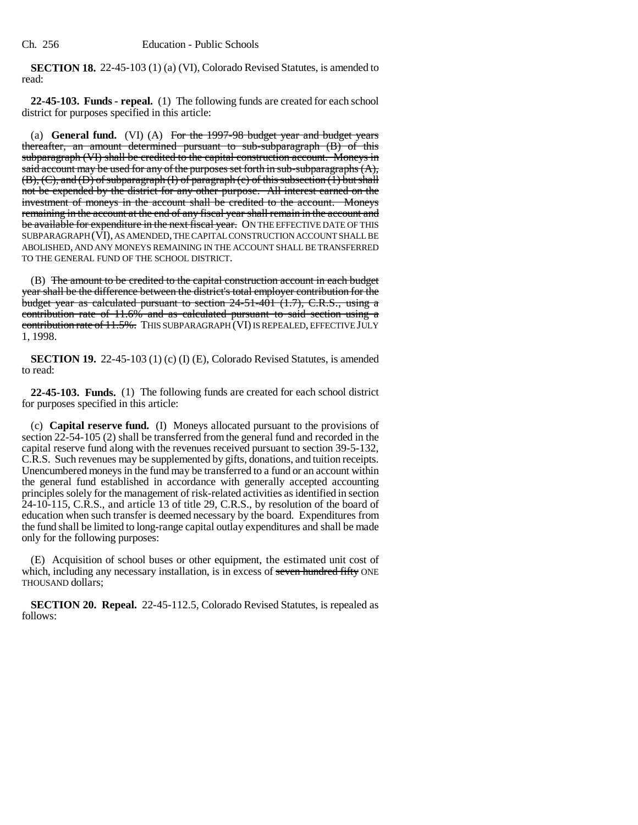**SECTION 18.** 22-45-103 (1) (a) (VI), Colorado Revised Statutes, is amended to read:

**22-45-103. Funds - repeal.** (1) The following funds are created for each school district for purposes specified in this article:

(a) **General fund.** (VI) (A) For the 1997-98 budget year and budget years thereafter, an amount determined pursuant to sub-subparagraph (B) of this subparagraph (VI) shall be credited to the capital construction account. Moneys in said account may be used for any of the purposes set forth in sub-subparagraphs  $(A)$ ,  $(B)$ ,  $(C)$ , and  $(D)$  of subparagraph  $(I)$  of paragraph  $(c)$  of this subsection  $(I)$  but shall not be expended by the district for any other purpose. All interest earned on the investment of moneys in the account shall be credited to the account. Moneys remaining in the account at the end of any fiscal year shall remain in the account and be available for expenditure in the next fiscal year. ON THE EFFECTIVE DATE OF THIS SUBPARAGRAPH (VI), AS AMENDED, THE CAPITAL CONSTRUCTION ACCOUNT SHALL BE ABOLISHED, AND ANY MONEYS REMAINING IN THE ACCOUNT SHALL BE TRANSFERRED TO THE GENERAL FUND OF THE SCHOOL DISTRICT.

(B) The amount to be credited to the capital construction account in each budget year shall be the difference between the district's total employer contribution for the budget year as calculated pursuant to section 24-51-401 (1.7), C.R.S., using a contribution rate of 11.6% and as calculated pursuant to said section using a contribution rate of 11.5%. THIS SUBPARAGRAPH (VI) IS REPEALED, EFFECTIVE JULY 1, 1998.

**SECTION 19.** 22-45-103 (1) (c) (I) (E), Colorado Revised Statutes, is amended to read:

**22-45-103. Funds.** (1) The following funds are created for each school district for purposes specified in this article:

(c) **Capital reserve fund.** (I) Moneys allocated pursuant to the provisions of section 22-54-105 (2) shall be transferred from the general fund and recorded in the capital reserve fund along with the revenues received pursuant to section 39-5-132, C.R.S. Such revenues may be supplemented by gifts, donations, and tuition receipts. Unencumbered moneys in the fund may be transferred to a fund or an account within the general fund established in accordance with generally accepted accounting principles solely for the management of risk-related activities as identified in section 24-10-115, C.R.S., and article 13 of title 29, C.R.S., by resolution of the board of education when such transfer is deemed necessary by the board. Expenditures from the fund shall be limited to long-range capital outlay expenditures and shall be made only for the following purposes:

(E) Acquisition of school buses or other equipment, the estimated unit cost of which, including any necessary installation, is in excess of seven hundred fifty ONE THOUSAND dollars;

**SECTION 20. Repeal.** 22-45-112.5, Colorado Revised Statutes, is repealed as follows: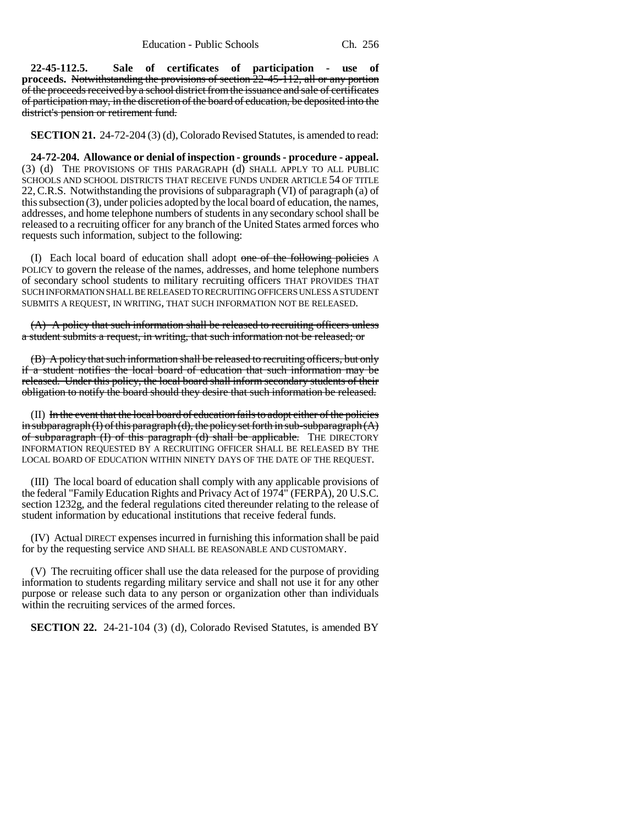**22-45-112.5. Sale of certificates of participation - use of proceeds.** Notwithstanding the provisions of section 22-45-112, all or any portion of the proceeds received by a school district from the issuance and sale of certificates of participation may, in the discretion of the board of education, be deposited into the district's pension or retirement fund.

**SECTION 21.** 24-72-204 (3) (d), Colorado Revised Statutes, is amended to read:

**24-72-204. Allowance or denial of inspection - grounds - procedure - appeal.** (3) (d) THE PROVISIONS OF THIS PARAGRAPH (d) SHALL APPLY TO ALL PUBLIC SCHOOLS AND SCHOOL DISTRICTS THAT RECEIVE FUNDS UNDER ARTICLE 54 OF TITLE 22,C.R.S. Notwithstanding the provisions of subparagraph (VI) of paragraph (a) of this subsection (3), under policies adopted by the local board of education, the names, addresses, and home telephone numbers of students in any secondary school shall be released to a recruiting officer for any branch of the United States armed forces who requests such information, subject to the following:

(I) Each local board of education shall adopt one of the following policies A POLICY to govern the release of the names, addresses, and home telephone numbers of secondary school students to military recruiting officers THAT PROVIDES THAT SUCH INFORMATION SHALL BE RELEASED TO RECRUITING OFFICERS UNLESS A STUDENT SUBMITS A REQUEST, IN WRITING, THAT SUCH INFORMATION NOT BE RELEASED.

(A) A policy that such information shall be released to recruiting officers unless a student submits a request, in writing, that such information not be released; or

(B) A policy that such information shall be released to recruiting officers, but only if a student notifies the local board of education that such information may be released. Under this policy, the local board shall inform secondary students of their obligation to notify the board should they desire that such information be released.

(II) In the event that the local board of education fails to adopt either of the policies in subparagraph (I) of this paragraph (d), the policy set forth in sub-subparagraph  $(A)$ of subparagraph (I) of this paragraph (d) shall be applicable. THE DIRECTORY INFORMATION REQUESTED BY A RECRUITING OFFICER SHALL BE RELEASED BY THE LOCAL BOARD OF EDUCATION WITHIN NINETY DAYS OF THE DATE OF THE REQUEST.

(III) The local board of education shall comply with any applicable provisions of the federal "Family Education Rights and Privacy Act of 1974" (FERPA), 20 U.S.C. section 1232g, and the federal regulations cited thereunder relating to the release of student information by educational institutions that receive federal funds.

(IV) Actual DIRECT expenses incurred in furnishing this information shall be paid for by the requesting service AND SHALL BE REASONABLE AND CUSTOMARY.

(V) The recruiting officer shall use the data released for the purpose of providing information to students regarding military service and shall not use it for any other purpose or release such data to any person or organization other than individuals within the recruiting services of the armed forces.

**SECTION 22.** 24-21-104 (3) (d), Colorado Revised Statutes, is amended BY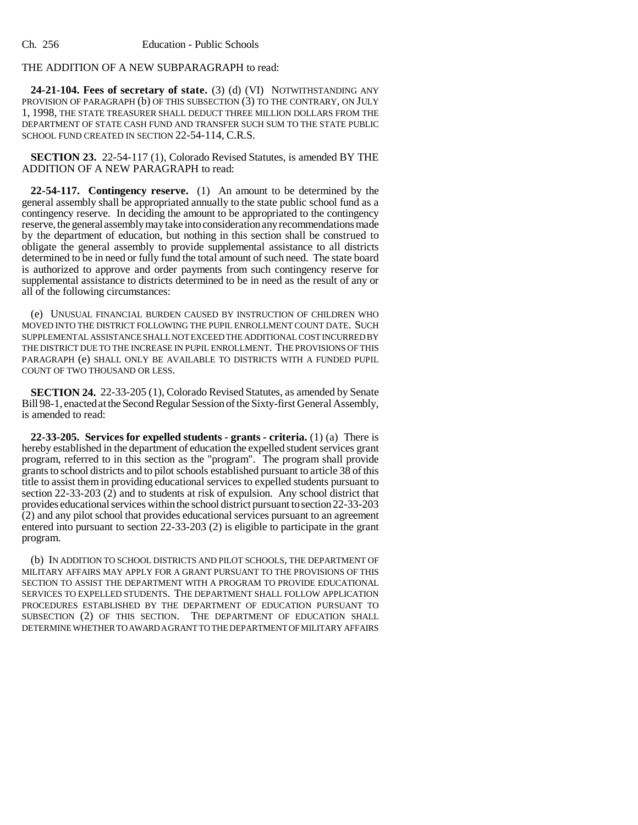## THE ADDITION OF A NEW SUBPARAGRAPH to read:

**24-21-104. Fees of secretary of state.** (3) (d) (VI) NOTWITHSTANDING ANY PROVISION OF PARAGRAPH (b) OF THIS SUBSECTION (3) TO THE CONTRARY, ON JULY 1, 1998, THE STATE TREASURER SHALL DEDUCT THREE MILLION DOLLARS FROM THE DEPARTMENT OF STATE CASH FUND AND TRANSFER SUCH SUM TO THE STATE PUBLIC SCHOOL FUND CREATED IN SECTION 22-54-114, C.R.S.

**SECTION 23.** 22-54-117 (1), Colorado Revised Statutes, is amended BY THE ADDITION OF A NEW PARAGRAPH to read:

**22-54-117. Contingency reserve.** (1) An amount to be determined by the general assembly shall be appropriated annually to the state public school fund as a contingency reserve. In deciding the amount to be appropriated to the contingency reserve, the general assembly may take into consideration any recommendations made by the department of education, but nothing in this section shall be construed to obligate the general assembly to provide supplemental assistance to all districts determined to be in need or fully fund the total amount of such need. The state board is authorized to approve and order payments from such contingency reserve for supplemental assistance to districts determined to be in need as the result of any or all of the following circumstances:

(e) UNUSUAL FINANCIAL BURDEN CAUSED BY INSTRUCTION OF CHILDREN WHO MOVED INTO THE DISTRICT FOLLOWING THE PUPIL ENROLLMENT COUNT DATE. SUCH SUPPLEMENTAL ASSISTANCE SHALL NOT EXCEED THE ADDITIONAL COST INCURRED BY THE DISTRICT DUE TO THE INCREASE IN PUPIL ENROLLMENT. THE PROVISIONS OF THIS PARAGRAPH (e) SHALL ONLY BE AVAILABLE TO DISTRICTS WITH A FUNDED PUPIL COUNT OF TWO THOUSAND OR LESS.

**SECTION 24.** 22-33-205 (1), Colorado Revised Statutes, as amended by Senate Bill 98-1, enacted at the Second Regular Session of the Sixty-first General Assembly, is amended to read:

**22-33-205. Services for expelled students - grants - criteria.** (1) (a) There is hereby established in the department of education the expelled student services grant program, referred to in this section as the "program". The program shall provide grants to school districts and to pilot schools established pursuant to article 38 of this title to assist them in providing educational services to expelled students pursuant to section 22-33-203 (2) and to students at risk of expulsion. Any school district that provides educational services within the school district pursuant to section 22-33-203 (2) and any pilot school that provides educational services pursuant to an agreement entered into pursuant to section 22-33-203 (2) is eligible to participate in the grant program.

(b) IN ADDITION TO SCHOOL DISTRICTS AND PILOT SCHOOLS, THE DEPARTMENT OF MILITARY AFFAIRS MAY APPLY FOR A GRANT PURSUANT TO THE PROVISIONS OF THIS SECTION TO ASSIST THE DEPARTMENT WITH A PROGRAM TO PROVIDE EDUCATIONAL SERVICES TO EXPELLED STUDENTS. THE DEPARTMENT SHALL FOLLOW APPLICATION PROCEDURES ESTABLISHED BY THE DEPARTMENT OF EDUCATION PURSUANT TO SUBSECTION (2) OF THIS SECTION. THE DEPARTMENT OF EDUCATION SHALL DETERMINE WHETHER TO AWARD A GRANT TO THE DEPARTMENT OF MILITARY AFFAIRS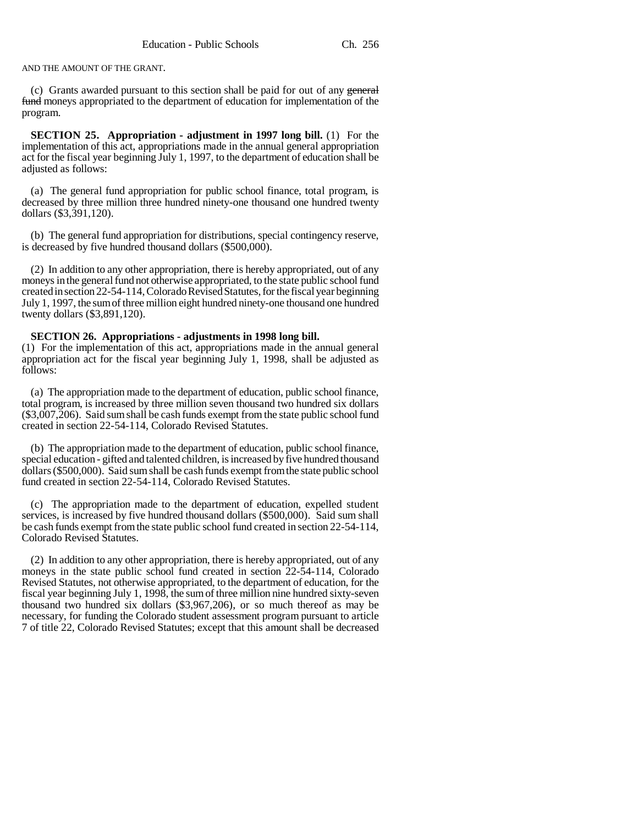AND THE AMOUNT OF THE GRANT.

(c) Grants awarded pursuant to this section shall be paid for out of any general fund moneys appropriated to the department of education for implementation of the program.

**SECTION 25. Appropriation - adjustment in 1997 long bill.** (1) For the implementation of this act, appropriations made in the annual general appropriation act for the fiscal year beginning July 1, 1997, to the department of education shall be adjusted as follows:

(a) The general fund appropriation for public school finance, total program, is decreased by three million three hundred ninety-one thousand one hundred twenty dollars (\$3,391,120).

(b) The general fund appropriation for distributions, special contingency reserve, is decreased by five hundred thousand dollars (\$500,000).

(2) In addition to any other appropriation, there is hereby appropriated, out of any moneys in the general fund not otherwise appropriated, to the state public school fund created in section 22-54-114, Colorado Revised Statutes, for the fiscal year beginning July 1, 1997, the sum of three million eight hundred ninety-one thousand one hundred twenty dollars (\$3,891,120).

#### **SECTION 26. Appropriations - adjustments in 1998 long bill.**

(1) For the implementation of this act, appropriations made in the annual general appropriation act for the fiscal year beginning July 1, 1998, shall be adjusted as follows:

(a) The appropriation made to the department of education, public school finance, total program, is increased by three million seven thousand two hundred six dollars (\$3,007,206). Said sum shall be cash funds exempt from the state public school fund created in section 22-54-114, Colorado Revised Statutes.

(b) The appropriation made to the department of education, public school finance, special education - gifted and talented children, is increased by five hundred thousand dollars (\$500,000). Said sum shall be cash funds exempt from the state public school fund created in section 22-54-114, Colorado Revised Statutes.

(c) The appropriation made to the department of education, expelled student services, is increased by five hundred thousand dollars (\$500,000). Said sum shall be cash funds exempt from the state public school fund created in section 22-54-114, Colorado Revised Statutes.

(2) In addition to any other appropriation, there is hereby appropriated, out of any moneys in the state public school fund created in section 22-54-114, Colorado Revised Statutes, not otherwise appropriated, to the department of education, for the fiscal year beginning July 1, 1998, the sum of three million nine hundred sixty-seven thousand two hundred six dollars (\$3,967,206), or so much thereof as may be necessary, for funding the Colorado student assessment program pursuant to article 7 of title 22, Colorado Revised Statutes; except that this amount shall be decreased